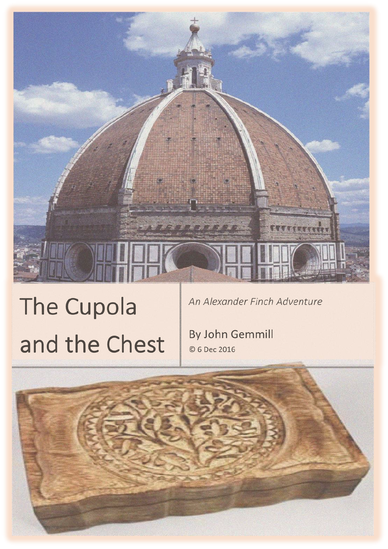# reen

# The Cupola and the Chest

An Alexander Finch Adventure

By John Gemmill © 6 Dec 2016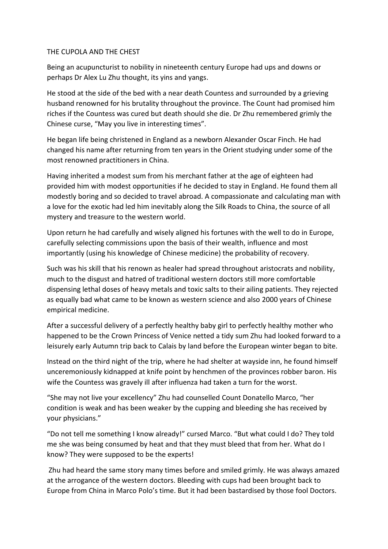# THE CUPOLA AND THE CHEST

Being an acupuncturist to nobility in nineteenth century Europe had ups and downs or perhaps Dr Alex Lu Zhu thought, its yins and yangs.

He stood at the side of the bed with a near death Countess and surrounded by a grieving husband renowned for his brutality throughout the province. The Count had promised him riches if the Countess was cured but death should she die. Dr Zhu remembered grimly the Chinese curse, "May you live in interesting times".

He began life being christened in England as a newborn Alexander Oscar Finch. He had changed his name after returning from ten years in the Orient studying under some of the most renowned practitioners in China.

Having inherited a modest sum from his merchant father at the age of eighteen had provided him with modest opportunities if he decided to stay in England. He found them all modestly boring and so decided to travel abroad. A compassionate and calculating man with a love for the exotic had led him inevitably along the Silk Roads to China, the source of all mystery and treasure to the western world.

Upon return he had carefully and wisely aligned his fortunes with the well to do in Europe, carefully selecting commissions upon the basis of their wealth, influence and most importantly (using his knowledge of Chinese medicine) the probability of recovery.

Such was his skill that his renown as healer had spread throughout aristocrats and nobility, much to the disgust and hatred of traditional western doctors still more comfortable dispensing lethal doses of heavy metals and toxic salts to their ailing patients. They rejected as equally bad what came to be known as western science and also 2000 years of Chinese empirical medicine.

After a successful delivery of a perfectly healthy baby girl to perfectly healthy mother who happened to be the Crown Princess of Venice netted a tidy sum Zhu had looked forward to a leisurely early Autumn trip back to Calais by land before the European winter began to bite.

Instead on the third night of the trip, where he had shelter at wayside inn, he found himself unceremoniously kidnapped at knife point by henchmen of the provinces robber baron. His wife the Countess was gravely ill after influenza had taken a turn for the worst.

"She may not live your excellency" Zhu had counselled Count Donatello Marco, "her condition is weak and has been weaker by the cupping and bleeding she has received by your physicians."

"Do not tell me something I know already!" cursed Marco. "But what could I do? They told me she was being consumed by heat and that they must bleed that from her. What do I know? They were supposed to be the experts!

Zhu had heard the same story many times before and smiled grimly. He was always amazed at the arrogance of the western doctors. Bleeding with cups had been brought back to Europe from China in Marco Polo's time. But it had been bastardised by those fool Doctors.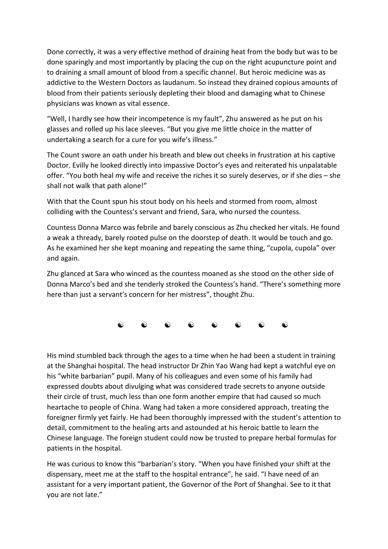Done correctly, it was a very effective method of draining heat from the body but was to be done sparingly and most importantly by placing the cup on the right acupuncture point and to draining a small amount of blood from a specific channel. But heroic medicine was as addictive to the Western Doctors as laudanum. So instead they drained copious amounts of blood from their patients seriously depleting their blood and damaging what to Chinese physicians was known as vital essence.

"Well, I hardly see how their incompetence is my fault", Zhu answered as he put on his glasses and rolled up his lace sleeves. "But you give me little choice in the matter of undertaking a search for a cure for you wife's illness."

The Count swore an oath under his breath and blew out cheeks in frustration at his captive Doctor. Evilly he looked directly into impassive Doctor's eyes and reiterated his unpalatable offer. "You both heal my wife and receive the riches it so surely deserves, or if she dies – she shall not walk that path alone!"

With that the Count spun his stout body on his heels and stormed from room, almost colliding with the Countess's servant and friend, Sara, who nursed the countess.

Countess Donna Marco was febrile and barely conscious as Zhu checked her vitals. He found a weak a thready, barely rooted pulse on the doorstep of death. It would be touch and go. As he examined her she kept moaning and repeating the same thing, "cupola, cupola" over and again.

Zhu glanced at Sara who winced as the countess moaned as she stood on the other side of Donna Marco's bed and she tenderly stroked the Countess's hand. "There's something more here than just a servant's concern for her mistress", thought Zhu.

 $\begin{matrix} \bullet\hspace{-6pt}&\bullet\hspace{-6pt}&\bullet\hspace{-6pt}&\bullet\hspace{-6pt}&\bullet\hspace{-6pt}&\bullet\hspace{-6pt}&\bullet\hspace{-6pt}&\bullet\hspace{-6pt}&\bullet\hspace{-6pt}&\bullet\hspace{-6pt}&\bullet\hspace{-6pt}&\bullet\hspace{-6pt}&\bullet\hspace{-6pt}&\bullet\hspace{-6pt}&\bullet\hspace{-6pt}&\bullet\hspace{-6pt}&\bullet\hspace{-6pt}&\bullet\hspace{-6pt}&\bullet\hspace{-6pt}&\bullet\hspace{-6pt}&\bullet\hspace{-6pt}&\bullet\hspace{-6pt}&\bullet\hspace{-6pt}&\bullet\hspace{-6pt$ 

His mind stumbled back through the ages to a time when he had been a student in training at the Shanghai hospital. The head instructor Dr Zhin Yao Wang had kept a watchful eye on his "white barbarian" pupil. Many of his colleagues and even some of his family had expressed doubts about divulging what was considered trade secrets to anyone outside their circle of trust, much less than one form another empire that had caused so much heartache to people of China. Wang had taken a more considered approach, treating the foreigner firmly yet fairly. He had been thoroughly impressed with the student's attention to detail, commitment to the healing arts and astounded at his heroic battle to learn the Chinese language. The foreign student could now be trusted to prepare herbal formulas for patients in the hospital.

He was curious to know this "barbarian's story. "When you have finished your shift at the dispensary, meet me at the staff to the hospital entrance", he said. "I have need of an assistant for a very important patient, the Governor of the Port of Shanghai. See to it that you are not late."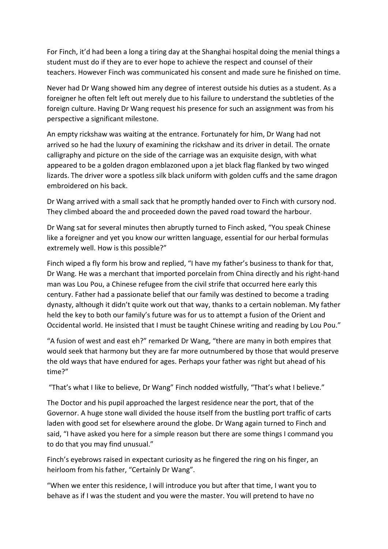For Finch, it'd had been a long a tiring day at the Shanghai hospital doing the menial things a student must do if they are to ever hope to achieve the respect and counsel of their teachers. However Finch was communicated his consent and made sure he finished on time.

Never had Dr Wang showed him any degree of interest outside his duties as a student. As a foreigner he often felt left out merely due to his failure to understand the subtleties of the foreign culture. Having Dr Wang request his presence for such an assignment was from his perspective a significant milestone.

An empty rickshaw was waiting at the entrance. Fortunately for him, Dr Wang had not arrived so he had the luxury of examining the rickshaw and its driver in detail. The ornate calligraphy and picture on the side of the carriage was an exquisite design, with what appeared to be a golden dragon emblazoned upon a jet black flag flanked by two winged lizards. The driver wore a spotless silk black uniform with golden cuffs and the same dragon embroidered on his back.

Dr Wang arrived with a small sack that he promptly handed over to Finch with cursory nod. They climbed aboard the and proceeded down the paved road toward the harbour.

Dr Wang sat for several minutes then abruptly turned to Finch asked, "You speak Chinese like a foreigner and yet you know our written language, essential for our herbal formulas extremely well. How is this possible?"

Finch wiped a fly form his brow and replied, "I have my father's business to thank for that, Dr Wang. He was a merchant that imported porcelain from China directly and his right-hand man was Lou Pou, a Chinese refugee from the civil strife that occurred here early this century. Father had a passionate belief that our family was destined to become a trading dynasty, although it didn't quite work out that way, thanks to a certain nobleman. My father held the key to both our family's future was for us to attempt a fusion of the Orient and Occidental world. He insisted that I must be taught Chinese writing and reading by Lou Pou."

"A fusion of west and east eh?" remarked Dr Wang, "there are many in both empires that would seek that harmony but they are far more outnumbered by those that would preserve the old ways that have endured for ages. Perhaps your father was right but ahead of his time?"

"That's what I like to believe, Dr Wang" Finch nodded wistfully, "That's what I believe."

The Doctor and his pupil approached the largest residence near the port, that of the Governor. A huge stone wall divided the house itself from the bustling port traffic of carts laden with good set for elsewhere around the globe. Dr Wang again turned to Finch and said, "I have asked you here for a simple reason but there are some things I command you to do that you may find unusual."

Finch's eyebrows raised in expectant curiosity as he fingered the ring on his finger, an heirloom from his father, "Certainly Dr Wang".

"When we enter this residence, I will introduce you but after that time, I want you to behave as if I was the student and you were the master. You will pretend to have no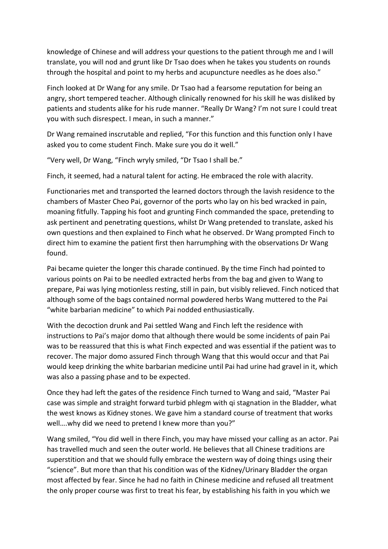knowledge of Chinese and will address your questions to the patient through me and I will translate, you will nod and grunt like Dr Tsao does when he takes you students on rounds through the hospital and point to my herbs and acupuncture needles as he does also."

Finch looked at Dr Wang for any smile. Dr Tsao had a fearsome reputation for being an angry, short tempered teacher. Although clinically renowned for his skill he was disliked by patients and students alike for his rude manner. "Really Dr Wang? I'm not sure I could treat you with such disrespect. I mean, in such a manner."

Dr Wang remained inscrutable and replied, "For this function and this function only I have asked you to come student Finch. Make sure you do it well."

"Very well, Dr Wang, "Finch wryly smiled, "Dr Tsao I shall be."

Finch, it seemed, had a natural talent for acting. He embraced the role with alacrity.

Functionaries met and transported the learned doctors through the lavish residence to the chambers of Master Cheo Pai, governor of the ports who lay on his bed wracked in pain, moaning fitfully. Tapping his foot and grunting Finch commanded the space, pretending to ask pertinent and penetrating questions, whilst Dr Wang pretended to translate, asked his own questions and then explained to Finch what he observed. Dr Wang prompted Finch to direct him to examine the patient first then harrumphing with the observations Dr Wang found.

Pai became quieter the longer this charade continued. By the time Finch had pointed to various points on Pai to be needled extracted herbs from the bag and given to Wang to prepare, Pai was lying motionless resting, still in pain, but visibly relieved. Finch noticed that although some of the bags contained normal powdered herbs Wang muttered to the Pai "white barbarian medicine" to which Pai nodded enthusiastically.

With the decoction drunk and Pai settled Wang and Finch left the residence with instructions to Pai's major domo that although there would be some incidents of pain Pai was to be reassured that this is what Finch expected and was essential if the patient was to recover. The major domo assured Finch through Wang that this would occur and that Pai would keep drinking the white barbarian medicine until Pai had urine had gravel in it, which was also a passing phase and to be expected.

Once they had left the gates of the residence Finch turned to Wang and said, "Master Pai case was simple and straight forward turbid phlegm with qi stagnation in the Bladder, what the west knows as Kidney stones. We gave him a standard course of treatment that works well….why did we need to pretend I knew more than you?"

Wang smiled, "You did well in there Finch, you may have missed your calling as an actor. Pai has travelled much and seen the outer world. He believes that all Chinese traditions are superstition and that we should fully embrace the western way of doing things using their "science". But more than that his condition was of the Kidney/Urinary Bladder the organ most affected by fear. Since he had no faith in Chinese medicine and refused all treatment the only proper course was first to treat his fear, by establishing his faith in you which we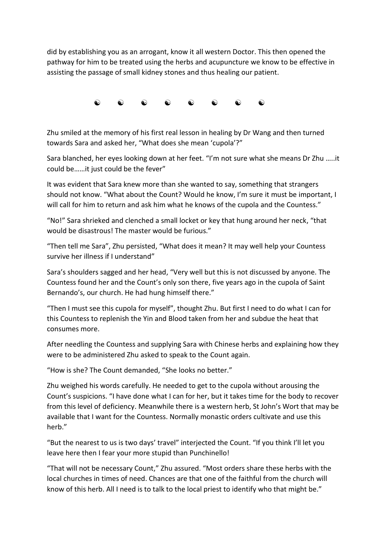did by establishing you as an arrogant, know it all western Doctor. This then opened the pathway for him to be treated using the herbs and acupuncture we know to be effective in assisting the passage of small kidney stones and thus healing our patient.



Zhu smiled at the memory of his first real lesson in healing by Dr Wang and then turned towards Sara and asked her, "What does she mean 'cupola'?"

Sara blanched, her eyes looking down at her feet. "I'm not sure what she means Dr Zhu …..it could be……it just could be the fever"

It was evident that Sara knew more than she wanted to say, something that strangers should not know. "What about the Count? Would he know, I'm sure it must be important, I will call for him to return and ask him what he knows of the cupola and the Countess."

"No!" Sara shrieked and clenched a small locket or key that hung around her neck, "that would be disastrous! The master would be furious."

"Then tell me Sara", Zhu persisted, "What does it mean? It may well help your Countess survive her illness if I understand"

Sara's shoulders sagged and her head, "Very well but this is not discussed by anyone. The Countess found her and the Count's only son there, five years ago in the cupola of Saint Bernando's, our church. He had hung himself there."

"Then I must see this cupola for myself", thought Zhu. But first I need to do what I can for this Countess to replenish the Yin and Blood taken from her and subdue the heat that consumes more.

After needling the Countess and supplying Sara with Chinese herbs and explaining how they were to be administered Zhu asked to speak to the Count again.

"How is she? The Count demanded, "She looks no better."

Zhu weighed his words carefully. He needed to get to the cupola without arousing the Count's suspicions. "I have done what I can for her, but it takes time for the body to recover from this level of deficiency. Meanwhile there is a western herb, St John's Wort that may be available that I want for the Countess. Normally monastic orders cultivate and use this herb."

"But the nearest to us is two days' travel" interjected the Count. "If you think I'll let you leave here then I fear your more stupid than Punchinello!

"That will not be necessary Count," Zhu assured. "Most orders share these herbs with the local churches in times of need. Chances are that one of the faithful from the church will know of this herb. All I need is to talk to the local priest to identify who that might be."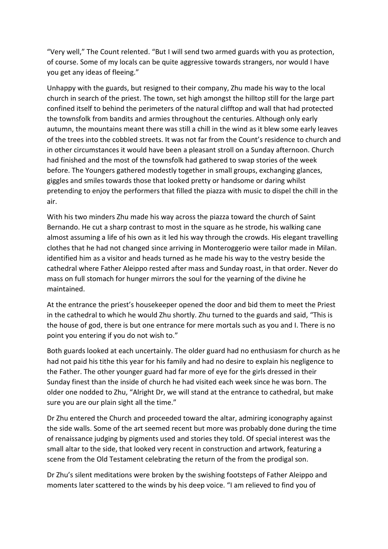"Very well," The Count relented. "But I will send two armed guards with you as protection, of course. Some of my locals can be quite aggressive towards strangers, nor would I have you get any ideas of fleeing."

Unhappy with the guards, but resigned to their company, Zhu made his way to the local church in search of the priest. The town, set high amongst the hilltop still for the large part confined itself to behind the perimeters of the natural clifftop and wall that had protected the townsfolk from bandits and armies throughout the centuries. Although only early autumn, the mountains meant there was still a chill in the wind as it blew some early leaves of the trees into the cobbled streets. It was not far from the Count's residence to church and in other circumstances it would have been a pleasant stroll on a Sunday afternoon. Church had finished and the most of the townsfolk had gathered to swap stories of the week before. The Youngers gathered modestly together in small groups, exchanging glances, giggles and smiles towards those that looked pretty or handsome or daring whilst pretending to enjoy the performers that filled the piazza with music to dispel the chill in the air.

With his two minders Zhu made his way across the piazza toward the church of Saint Bernando. He cut a sharp contrast to most in the square as he strode, his walking cane almost assuming a life of his own as it led his way through the crowds. His elegant travelling clothes that he had not changed since arriving in Monteroggerio were tailor made in Milan. identified him as a visitor and heads turned as he made his way to the vestry beside the cathedral where Father Aleippo rested after mass and Sunday roast, in that order. Never do mass on full stomach for hunger mirrors the soul for the yearning of the divine he maintained.

At the entrance the priest's housekeeper opened the door and bid them to meet the Priest in the cathedral to which he would Zhu shortly. Zhu turned to the guards and said, "This is the house of god, there is but one entrance for mere mortals such as you and I. There is no point you entering if you do not wish to."

Both guards looked at each uncertainly. The older guard had no enthusiasm for church as he had not paid his tithe this year for his family and had no desire to explain his negligence to the Father. The other younger guard had far more of eye for the girls dressed in their Sunday finest than the inside of church he had visited each week since he was born. The older one nodded to Zhu, "Alright Dr, we will stand at the entrance to cathedral, but make sure you are our plain sight all the time."

Dr Zhu entered the Church and proceeded toward the altar, admiring iconography against the side walls. Some of the art seemed recent but more was probably done during the time of renaissance judging by pigments used and stories they told. Of special interest was the small altar to the side, that looked very recent in construction and artwork, featuring a scene from the Old Testament celebrating the return of the from the prodigal son.

Dr Zhu's silent meditations were broken by the swishing footsteps of Father Aleippo and moments later scattered to the winds by his deep voice. "I am relieved to find you of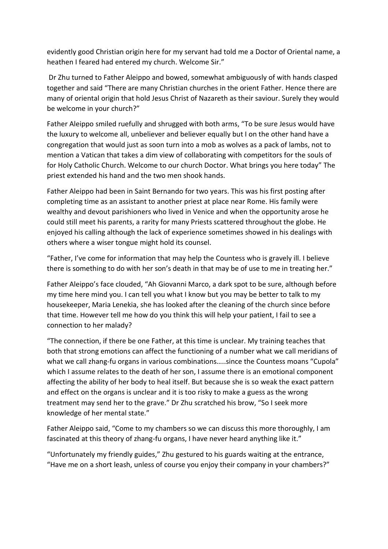evidently good Christian origin here for my servant had told me a Doctor of Oriental name, a heathen I feared had entered my church. Welcome Sir."

Dr Zhu turned to Father Aleippo and bowed, somewhat ambiguously of with hands clasped together and said "There are many Christian churches in the orient Father. Hence there are many of oriental origin that hold Jesus Christ of Nazareth as their saviour. Surely they would be welcome in your church?"

Father Aleippo smiled ruefully and shrugged with both arms, "To be sure Jesus would have the luxury to welcome all, unbeliever and believer equally but I on the other hand have a congregation that would just as soon turn into a mob as wolves as a pack of lambs, not to mention a Vatican that takes a dim view of collaborating with competitors for the souls of for Holy Catholic Church. Welcome to our church Doctor. What brings you here today" The priest extended his hand and the two men shook hands.

Father Aleippo had been in Saint Bernando for two years. This was his first posting after completing time as an assistant to another priest at place near Rome. His family were wealthy and devout parishioners who lived in Venice and when the opportunity arose he could still meet his parents, a rarity for many Priests scattered throughout the globe. He enjoyed his calling although the lack of experience sometimes showed in his dealings with others where a wiser tongue might hold its counsel.

"Father, I've come for information that may help the Countess who is gravely ill. I believe there is something to do with her son's death in that may be of use to me in treating her."

Father Aleippo's face clouded, "Ah Giovanni Marco, a dark spot to be sure, although before my time here mind you. I can tell you what I know but you may be better to talk to my housekeeper, Maria Lenekia, she has looked after the cleaning of the church since before that time. However tell me how do you think this will help your patient, I fail to see a connection to her malady?

"The connection, if there be one Father, at this time is unclear. My training teaches that both that strong emotions can affect the functioning of a number what we call meridians of what we call zhang-fu organs in various combinations.....since the Countess moans "Cupola" which I assume relates to the death of her son, I assume there is an emotional component affecting the ability of her body to heal itself. But because she is so weak the exact pattern and effect on the organs is unclear and it is too risky to make a guess as the wrong treatment may send her to the grave." Dr Zhu scratched his brow, "So I seek more knowledge of her mental state."

Father Aleippo said, "Come to my chambers so we can discuss this more thoroughly, I am fascinated at this theory of zhang-fu organs, I have never heard anything like it."

"Unfortunately my friendly guides," Zhu gestured to his guards waiting at the entrance, "Have me on a short leash, unless of course you enjoy their company in your chambers?"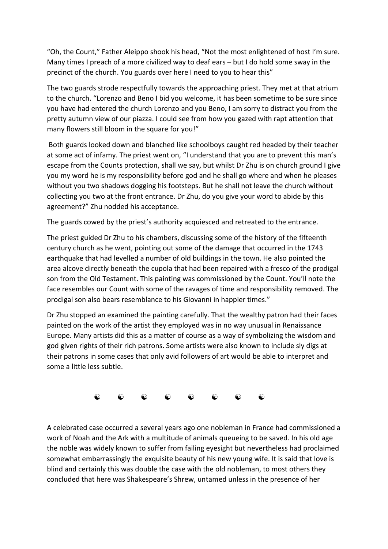"Oh, the Count," Father Aleippo shook his head, "Not the most enlightened of host I'm sure. Many times I preach of a more civilized way to deaf ears – but I do hold some sway in the precinct of the church. You guards over here I need to you to hear this"

The two guards strode respectfully towards the approaching priest. They met at that atrium to the church. "Lorenzo and Beno I bid you welcome, it has been sometime to be sure since you have had entered the church Lorenzo and you Beno, I am sorry to distract you from the pretty autumn view of our piazza. I could see from how you gazed with rapt attention that many flowers still bloom in the square for you!"

Both guards looked down and blanched like schoolboys caught red headed by their teacher at some act of infamy. The priest went on, "I understand that you are to prevent this man's escape from the Counts protection, shall we say, but whilst Dr Zhu is on church ground I give you my word he is my responsibility before god and he shall go where and when he pleases without you two shadows dogging his footsteps. But he shall not leave the church without collecting you two at the front entrance. Dr Zhu, do you give your word to abide by this agreement?" Zhu nodded his acceptance.

The guards cowed by the priest's authority acquiesced and retreated to the entrance.

The priest guided Dr Zhu to his chambers, discussing some of the history of the fifteenth century church as he went, pointing out some of the damage that occurred in the 1743 earthquake that had levelled a number of old buildings in the town. He also pointed the area alcove directly beneath the cupola that had been repaired with a fresco of the prodigal son from the Old Testament. This painting was commissioned by the Count. You'll note the face resembles our Count with some of the ravages of time and responsibility removed. The prodigal son also bears resemblance to his Giovanni in happier times."

Dr Zhu stopped an examined the painting carefully. That the wealthy patron had their faces painted on the work of the artist they employed was in no way unusual in Renaissance Europe. Many artists did this as a matter of course as a way of symbolizing the wisdom and god given rights of their rich patrons. Some artists were also known to include sly digs at their patrons in some cases that only avid followers of art would be able to interpret and some a little less subtle.



A celebrated case occurred a several years ago one nobleman in France had commissioned a work of Noah and the Ark with a multitude of animals queueing to be saved. In his old age the noble was widely known to suffer from failing eyesight but nevertheless had proclaimed somewhat embarrassingly the exquisite beauty of his new young wife. It is said that love is blind and certainly this was double the case with the old nobleman, to most others they concluded that here was Shakespeare's Shrew, untamed unless in the presence of her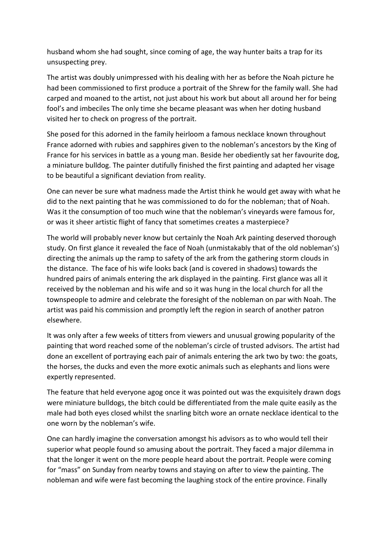husband whom she had sought, since coming of age, the way hunter baits a trap for its unsuspecting prey.

The artist was doubly unimpressed with his dealing with her as before the Noah picture he had been commissioned to first produce a portrait of the Shrew for the family wall. She had carped and moaned to the artist, not just about his work but about all around her for being fool's and imbeciles The only time she became pleasant was when her doting husband visited her to check on progress of the portrait.

She posed for this adorned in the family heirloom a famous necklace known throughout France adorned with rubies and sapphires given to the nobleman's ancestors by the King of France for his services in battle as a young man. Beside her obediently sat her favourite dog, a miniature bulldog. The painter dutifully finished the first painting and adapted her visage to be beautiful a significant deviation from reality.

One can never be sure what madness made the Artist think he would get away with what he did to the next painting that he was commissioned to do for the nobleman; that of Noah. Was it the consumption of too much wine that the nobleman's vineyards were famous for, or was it sheer artistic flight of fancy that sometimes creates a masterpiece?

The world will probably never know but certainly the Noah Ark painting deserved thorough study. On first glance it revealed the face of Noah (unmistakably that of the old nobleman's) directing the animals up the ramp to safety of the ark from the gathering storm clouds in the distance. The face of his wife looks back (and is covered in shadows) towards the hundred pairs of animals entering the ark displayed in the painting. First glance was all it received by the nobleman and his wife and so it was hung in the local church for all the townspeople to admire and celebrate the foresight of the nobleman on par with Noah. The artist was paid his commission and promptly left the region in search of another patron elsewhere.

It was only after a few weeks of titters from viewers and unusual growing popularity of the painting that word reached some of the nobleman's circle of trusted advisors. The artist had done an excellent of portraying each pair of animals entering the ark two by two: the goats, the horses, the ducks and even the more exotic animals such as elephants and lions were expertly represented.

The feature that held everyone agog once it was pointed out was the exquisitely drawn dogs were miniature bulldogs, the bitch could be differentiated from the male quite easily as the male had both eyes closed whilst the snarling bitch wore an ornate necklace identical to the one worn by the nobleman's wife.

One can hardly imagine the conversation amongst his advisors as to who would tell their superior what people found so amusing about the portrait. They faced a major dilemma in that the longer it went on the more people heard about the portrait. People were coming for "mass" on Sunday from nearby towns and staying on after to view the painting. The nobleman and wife were fast becoming the laughing stock of the entire province. Finally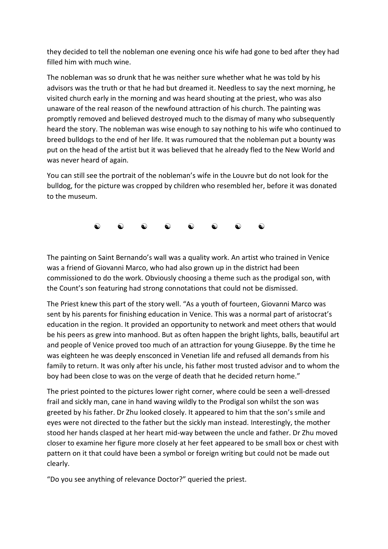they decided to tell the nobleman one evening once his wife had gone to bed after they had filled him with much wine.

The nobleman was so drunk that he was neither sure whether what he was told by his advisors was the truth or that he had but dreamed it. Needless to say the next morning, he visited church early in the morning and was heard shouting at the priest, who was also unaware of the real reason of the newfound attraction of his church. The painting was promptly removed and believed destroyed much to the dismay of many who subsequently heard the story. The nobleman was wise enough to say nothing to his wife who continued to breed bulldogs to the end of her life. It was rumoured that the nobleman put a bounty was put on the head of the artist but it was believed that he already fled to the New World and was never heard of again.

You can still see the portrait of the nobleman's wife in the Louvre but do not look for the bulldog, for the picture was cropped by children who resembled her, before it was donated to the museum.



The painting on Saint Bernando's wall was a quality work. An artist who trained in Venice was a friend of Giovanni Marco, who had also grown up in the district had been commissioned to do the work. Obviously choosing a theme such as the prodigal son, with the Count's son featuring had strong connotations that could not be dismissed.

The Priest knew this part of the story well. "As a youth of fourteen, Giovanni Marco was sent by his parents for finishing education in Venice. This was a normal part of aristocrat's education in the region. It provided an opportunity to network and meet others that would be his peers as grew into manhood. But as often happen the bright lights, balls, beautiful art and people of Venice proved too much of an attraction for young Giuseppe. By the time he was eighteen he was deeply ensconced in Venetian life and refused all demands from his family to return. It was only after his uncle, his father most trusted advisor and to whom the boy had been close to was on the verge of death that he decided return home."

The priest pointed to the pictures lower right corner, where could be seen a well-dressed frail and sickly man, cane in hand waving wildly to the Prodigal son whilst the son was greeted by his father. Dr Zhu looked closely. It appeared to him that the son's smile and eyes were not directed to the father but the sickly man instead. Interestingly, the mother stood her hands clasped at her heart mid-way between the uncle and father. Dr Zhu moved closer to examine her figure more closely at her feet appeared to be small box or chest with pattern on it that could have been a symbol or foreign writing but could not be made out clearly.

"Do you see anything of relevance Doctor?" queried the priest.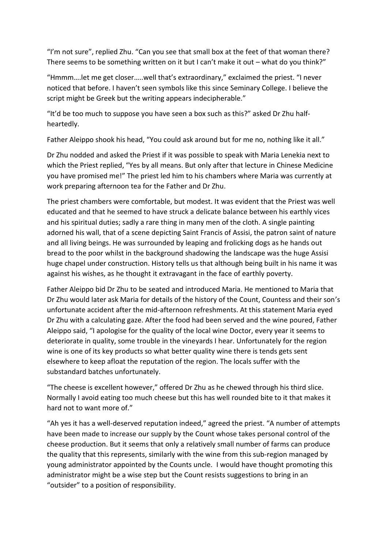"I'm not sure", replied Zhu. "Can you see that small box at the feet of that woman there? There seems to be something written on it but I can't make it out – what do you think?"

"Hmmm….let me get closer…..well that's extraordinary," exclaimed the priest. "I never noticed that before. I haven't seen symbols like this since Seminary College. I believe the script might be Greek but the writing appears indecipherable."

"It'd be too much to suppose you have seen a box such as this?" asked Dr Zhu halfheartedly.

Father Aleippo shook his head, "You could ask around but for me no, nothing like it all."

Dr Zhu nodded and asked the Priest if it was possible to speak with Maria Lenekia next to which the Priest replied, "Yes by all means. But only after that lecture in Chinese Medicine you have promised me!" The priest led him to his chambers where Maria was currently at work preparing afternoon tea for the Father and Dr Zhu.

The priest chambers were comfortable, but modest. It was evident that the Priest was well educated and that he seemed to have struck a delicate balance between his earthly vices and his spiritual duties; sadly a rare thing in many men of the cloth. A single painting adorned his wall, that of a scene depicting Saint Francis of Assisi, the patron saint of nature and all living beings. He was surrounded by leaping and frolicking dogs as he hands out bread to the poor whilst in the background shadowing the landscape was the huge Assisi huge chapel under construction. History tells us that although being built in his name it was against his wishes, as he thought it extravagant in the face of earthly poverty.

Father Aleippo bid Dr Zhu to be seated and introduced Maria. He mentioned to Maria that Dr Zhu would later ask Maria for details of the history of the Count, Countess and their son's unfortunate accident after the mid-afternoon refreshments. At this statement Maria eyed Dr Zhu with a calculating gaze. After the food had been served and the wine poured, Father Aleippo said, "I apologise for the quality of the local wine Doctor, every year it seems to deteriorate in quality, some trouble in the vineyards I hear. Unfortunately for the region wine is one of its key products so what better quality wine there is tends gets sent elsewhere to keep afloat the reputation of the region. The locals suffer with the substandard batches unfortunately.

"The cheese is excellent however," offered Dr Zhu as he chewed through his third slice. Normally I avoid eating too much cheese but this has well rounded bite to it that makes it hard not to want more of."

"Ah yes it has a well-deserved reputation indeed," agreed the priest. "A number of attempts have been made to increase our supply by the Count whose takes personal control of the cheese production. But it seems that only a relatively small number of farms can produce the quality that this represents, similarly with the wine from this sub-region managed by young administrator appointed by the Counts uncle. I would have thought promoting this administrator might be a wise step but the Count resists suggestions to bring in an "outsider" to a position of responsibility.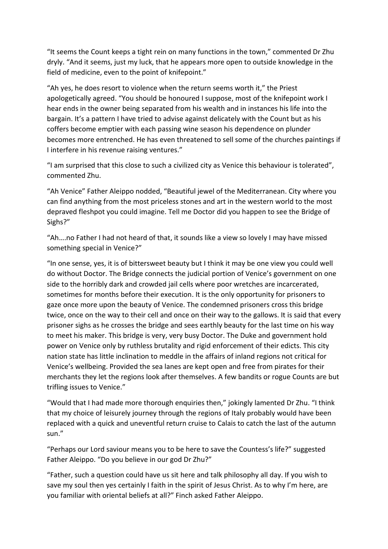"It seems the Count keeps a tight rein on many functions in the town," commented Dr Zhu dryly. "And it seems, just my luck, that he appears more open to outside knowledge in the field of medicine, even to the point of knifepoint."

"Ah yes, he does resort to violence when the return seems worth it," the Priest apologetically agreed. "You should be honoured I suppose, most of the knifepoint work I hear ends in the owner being separated from his wealth and in instances his life into the bargain. It's a pattern I have tried to advise against delicately with the Count but as his coffers become emptier with each passing wine season his dependence on plunder becomes more entrenched. He has even threatened to sell some of the churches paintings if I interfere in his revenue raising ventures."

"I am surprised that this close to such a civilized city as Venice this behaviour is tolerated", commented Zhu.

"Ah Venice" Father Aleippo nodded, "Beautiful jewel of the Mediterranean. City where you can find anything from the most priceless stones and art in the western world to the most depraved fleshpot you could imagine. Tell me Doctor did you happen to see the Bridge of Sighs?"

"Ah….no Father I had not heard of that, it sounds like a view so lovely I may have missed something special in Venice?"

"In one sense, yes, it is of bittersweet beauty but I think it may be one view you could well do without Doctor. The Bridge connects the judicial portion of Venice's government on one side to the horribly dark and crowded jail cells where poor wretches are incarcerated, sometimes for months before their execution. It is the only opportunity for prisoners to gaze once more upon the beauty of Venice. The condemned prisoners cross this bridge twice, once on the way to their cell and once on their way to the gallows. It is said that every prisoner sighs as he crosses the bridge and sees earthly beauty for the last time on his way to meet his maker. This bridge is very, very busy Doctor. The Duke and government hold power on Venice only by ruthless brutality and rigid enforcement of their edicts. This city nation state has little inclination to meddle in the affairs of inland regions not critical for Venice's wellbeing. Provided the sea lanes are kept open and free from pirates for their merchants they let the regions look after themselves. A few bandits or rogue Counts are but trifling issues to Venice."

"Would that I had made more thorough enquiries then," jokingly lamented Dr Zhu. "I think that my choice of leisurely journey through the regions of Italy probably would have been replaced with a quick and uneventful return cruise to Calais to catch the last of the autumn sun."

"Perhaps our Lord saviour means you to be here to save the Countess's life?" suggested Father Aleippo. "Do you believe in our god Dr Zhu?"

"Father, such a question could have us sit here and talk philosophy all day. If you wish to save my soul then yes certainly I faith in the spirit of Jesus Christ. As to why I'm here, are you familiar with oriental beliefs at all?" Finch asked Father Aleippo.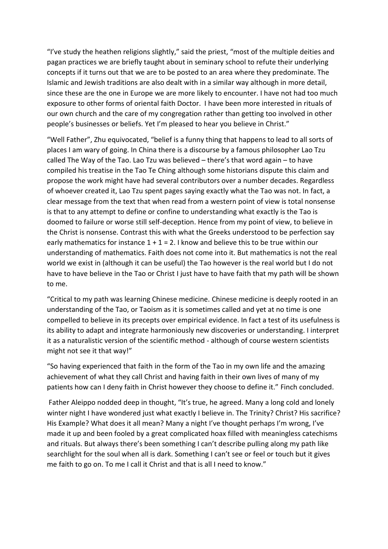"I've study the heathen religions slightly," said the priest, "most of the multiple deities and pagan practices we are briefly taught about in seminary school to refute their underlying concepts if it turns out that we are to be posted to an area where they predominate. The Islamic and Jewish traditions are also dealt with in a similar way although in more detail, since these are the one in Europe we are more likely to encounter. I have not had too much exposure to other forms of oriental faith Doctor. I have been more interested in rituals of our own church and the care of my congregation rather than getting too involved in other people's businesses or beliefs. Yet I'm pleased to hear you believe in Christ."

"Well Father", Zhu equivocated, "belief is a funny thing that happens to lead to all sorts of places I am wary of going. In China there is a discourse by a famous philosopher Lao Tzu called The Way of the Tao. Lao Tzu was believed – there's that word again – to have compiled his treatise in the Tao Te Ching although some historians dispute this claim and propose the work might have had several contributors over a number decades. Regardless of whoever created it, Lao Tzu spent pages saying exactly what the Tao was not. In fact, a clear message from the text that when read from a western point of view is total nonsense is that to any attempt to define or confine to understanding what exactly is the Tao is doomed to failure or worse still self-deception. Hence from my point of view, to believe in the Christ is nonsense. Contrast this with what the Greeks understood to be perfection say early mathematics for instance  $1 + 1 = 2$ . I know and believe this to be true within our understanding of mathematics. Faith does not come into it. But mathematics is not the real world we exist in (although it can be useful) the Tao however is the real world but I do not have to have believe in the Tao or Christ I just have to have faith that my path will be shown to me.

"Critical to my path was learning Chinese medicine. Chinese medicine is deeply rooted in an understanding of the Tao, or Taoism as it is sometimes called and yet at no time is one compelled to believe in its precepts over empirical evidence. In fact a test of its usefulness is its ability to adapt and integrate harmoniously new discoveries or understanding. I interpret it as a naturalistic version of the scientific method - although of course western scientists might not see it that way!"

"So having experienced that faith in the form of the Tao in my own life and the amazing achievement of what they call Christ and having faith in their own lives of many of my patients how can I deny faith in Christ however they choose to define it." Finch concluded.

Father Aleippo nodded deep in thought, "It's true, he agreed. Many a long cold and lonely winter night I have wondered just what exactly I believe in. The Trinity? Christ? His sacrifice? His Example? What does it all mean? Many a night I've thought perhaps I'm wrong, I've made it up and been fooled by a great complicated hoax filled with meaningless catechisms and rituals. But always there's been something I can't describe pulling along my path like searchlight for the soul when all is dark. Something I can't see or feel or touch but it gives me faith to go on. To me I call it Christ and that is all I need to know."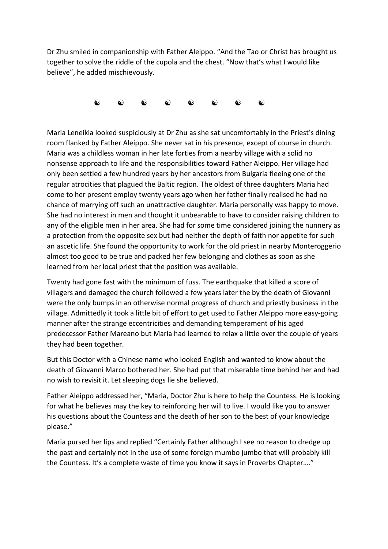Dr Zhu smiled in companionship with Father Aleippo. "And the Tao or Christ has brought us together to solve the riddle of the cupola and the chest. "Now that's what I would like believe", he added mischievously.



Maria Leneikia looked suspiciously at Dr Zhu as she sat uncomfortably in the Priest's dining room flanked by Father Aleippo. She never sat in his presence, except of course in church. Maria was a childless woman in her late forties from a nearby village with a solid no nonsense approach to life and the responsibilities toward Father Aleippo. Her village had only been settled a few hundred years by her ancestors from Bulgaria fleeing one of the regular atrocities that plagued the Baltic region. The oldest of three daughters Maria had come to her present employ twenty years ago when her father finally realised he had no chance of marrying off such an unattractive daughter. Maria personally was happy to move. She had no interest in men and thought it unbearable to have to consider raising children to any of the eligible men in her area. She had for some time considered joining the nunnery as a protection from the opposite sex but had neither the depth of faith nor appetite for such an ascetic life. She found the opportunity to work for the old priest in nearby Monteroggerio almost too good to be true and packed her few belonging and clothes as soon as she learned from her local priest that the position was available.

Twenty had gone fast with the minimum of fuss. The earthquake that killed a score of villagers and damaged the church followed a few years later the by the death of Giovanni were the only bumps in an otherwise normal progress of church and priestly business in the village. Admittedly it took a little bit of effort to get used to Father Aleippo more easy-going manner after the strange eccentricities and demanding temperament of his aged predecessor Father Mareano but Maria had learned to relax a little over the couple of years they had been together.

But this Doctor with a Chinese name who looked English and wanted to know about the death of Giovanni Marco bothered her. She had put that miserable time behind her and had no wish to revisit it. Let sleeping dogs lie she believed.

Father Aleippo addressed her, "Maria, Doctor Zhu is here to help the Countess. He is looking for what he believes may the key to reinforcing her will to live. I would like you to answer his questions about the Countess and the death of her son to the best of your knowledge please."

Maria pursed her lips and replied "Certainly Father although I see no reason to dredge up the past and certainly not in the use of some foreign mumbo jumbo that will probably kill the Countess. It's a complete waste of time you know it says in Proverbs Chapter…."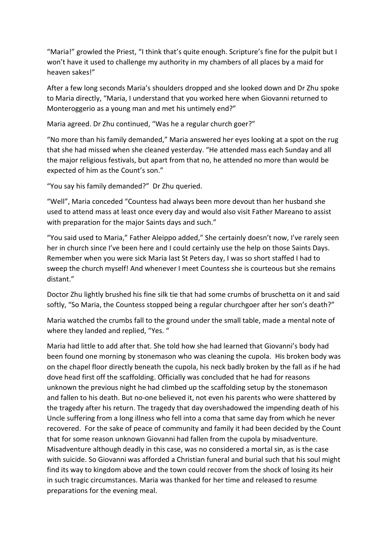"Maria!" growled the Priest, "I think that's quite enough. Scripture's fine for the pulpit but I won't have it used to challenge my authority in my chambers of all places by a maid for heaven sakes!"

After a few long seconds Maria's shoulders dropped and she looked down and Dr Zhu spoke to Maria directly, "Maria, I understand that you worked here when Giovanni returned to Monteroggerio as a young man and met his untimely end?"

Maria agreed. Dr Zhu continued, "Was he a regular church goer?"

"No more than his family demanded," Maria answered her eyes looking at a spot on the rug that she had missed when she cleaned yesterday. "He attended mass each Sunday and all the major religious festivals, but apart from that no, he attended no more than would be expected of him as the Count's son."

"You say his family demanded?" Dr Zhu queried.

"Well", Maria conceded "Countess had always been more devout than her husband she used to attend mass at least once every day and would also visit Father Mareano to assist with preparation for the major Saints days and such."

"You said used to Maria," Father Aleippo added," She certainly doesn't now, I've rarely seen her in church since I've been here and I could certainly use the help on those Saints Days. Remember when you were sick Maria last St Peters day, I was so short staffed I had to sweep the church myself! And whenever I meet Countess she is courteous but she remains distant."

Doctor Zhu lightly brushed his fine silk tie that had some crumbs of bruschetta on it and said softly, "So Maria, the Countess stopped being a regular churchgoer after her son's death?"

Maria watched the crumbs fall to the ground under the small table, made a mental note of where they landed and replied, "Yes. "

Maria had little to add after that. She told how she had learned that Giovanni's body had been found one morning by stonemason who was cleaning the cupola. His broken body was on the chapel floor directly beneath the cupola, his neck badly broken by the fall as if he had dove head first off the scaffolding. Officially was concluded that he had for reasons unknown the previous night he had climbed up the scaffolding setup by the stonemason and fallen to his death. But no-one believed it, not even his parents who were shattered by the tragedy after his return. The tragedy that day overshadowed the impending death of his Uncle suffering from a long illness who fell into a coma that same day from which he never recovered. For the sake of peace of community and family it had been decided by the Count that for some reason unknown Giovanni had fallen from the cupola by misadventure. Misadventure although deadly in this case, was no considered a mortal sin, as is the case with suicide. So Giovanni was afforded a Christian funeral and burial such that his soul might find its way to kingdom above and the town could recover from the shock of losing its heir in such tragic circumstances. Maria was thanked for her time and released to resume preparations for the evening meal.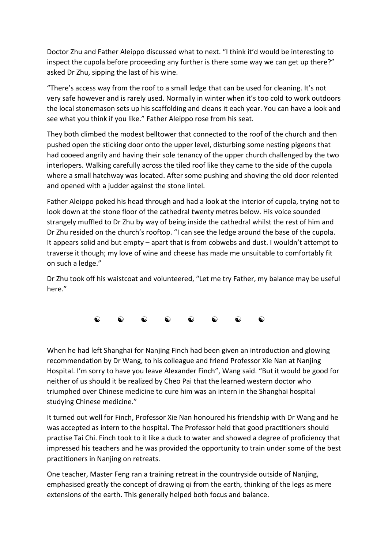Doctor Zhu and Father Aleippo discussed what to next. "I think it'd would be interesting to inspect the cupola before proceeding any further is there some way we can get up there?" asked Dr Zhu, sipping the last of his wine.

"There's access way from the roof to a small ledge that can be used for cleaning. It's not very safe however and is rarely used. Normally in winter when it's too cold to work outdoors the local stonemason sets up his scaffolding and cleans it each year. You can have a look and see what you think if you like." Father Aleippo rose from his seat.

They both climbed the modest belltower that connected to the roof of the church and then pushed open the sticking door onto the upper level, disturbing some nesting pigeons that had cooeed angrily and having their sole tenancy of the upper church challenged by the two interlopers. Walking carefully across the tiled roof like they came to the side of the cupola where a small hatchway was located. After some pushing and shoving the old door relented and opened with a judder against the stone lintel.

Father Aleippo poked his head through and had a look at the interior of cupola, trying not to look down at the stone floor of the cathedral twenty metres below. His voice sounded strangely muffled to Dr Zhu by way of being inside the cathedral whilst the rest of him and Dr Zhu resided on the church's rooftop. "I can see the ledge around the base of the cupola. It appears solid and but empty – apart that is from cobwebs and dust. I wouldn't attempt to traverse it though; my love of wine and cheese has made me unsuitable to comfortably fit on such a ledge."

Dr Zhu took off his waistcoat and volunteered, "Let me try Father, my balance may be useful here."

 $\begin{matrix} \bullet\hspace{0.6cm}&\bullet\hspace{0.6cm}&\bullet\hspace{0.6cm}&\bullet\hspace{0.6cm}&\bullet\hspace{0.6cm}&\bullet\hspace{0.6cm}&\bullet\hspace{0.6cm}&\bullet\hspace{0.6cm}&\bullet\hspace{0.6cm}&\bullet\hspace{0.6cm}&\bullet\hspace{0.6cm}&\bullet\hspace{0.6cm}&\bullet\hspace{0.6cm}&\bullet\hspace{0.6cm}&\bullet\hspace{0.6cm}&\bullet\hspace{0.6cm}&\bullet\hspace{0.6cm}&\bullet\hspace{0.6cm}&\bullet\hspace{0.6cm}&\bullet\hspace{$ 

When he had left Shanghai for Nanjing Finch had been given an introduction and glowing recommendation by Dr Wang, to his colleague and friend Professor Xie Nan at Nanjing Hospital. I'm sorry to have you leave Alexander Finch", Wang said. "But it would be good for neither of us should it be realized by Cheo Pai that the learned western doctor who triumphed over Chinese medicine to cure him was an intern in the Shanghai hospital studying Chinese medicine."

It turned out well for Finch, Professor Xie Nan honoured his friendship with Dr Wang and he was accepted as intern to the hospital. The Professor held that good practitioners should practise Tai Chi. Finch took to it like a duck to water and showed a degree of proficiency that impressed his teachers and he was provided the opportunity to train under some of the best practitioners in Nanjing on retreats.

One teacher, Master Feng ran a training retreat in the countryside outside of Nanjing, emphasised greatly the concept of drawing qi from the earth, thinking of the legs as mere extensions of the earth. This generally helped both focus and balance.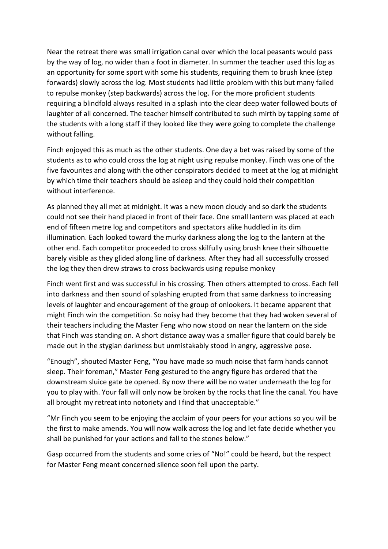Near the retreat there was small irrigation canal over which the local peasants would pass by the way of log, no wider than a foot in diameter. In summer the teacher used this log as an opportunity for some sport with some his students, requiring them to brush knee (step forwards) slowly across the log. Most students had little problem with this but many failed to repulse monkey (step backwards) across the log. For the more proficient students requiring a blindfold always resulted in a splash into the clear deep water followed bouts of laughter of all concerned. The teacher himself contributed to such mirth by tapping some of the students with a long staff if they looked like they were going to complete the challenge without falling.

Finch enjoyed this as much as the other students. One day a bet was raised by some of the students as to who could cross the log at night using repulse monkey. Finch was one of the five favourites and along with the other conspirators decided to meet at the log at midnight by which time their teachers should be asleep and they could hold their competition without interference.

As planned they all met at midnight. It was a new moon cloudy and so dark the students could not see their hand placed in front of their face. One small lantern was placed at each end of fifteen metre log and competitors and spectators alike huddled in its dim illumination. Each looked toward the murky darkness along the log to the lantern at the other end. Each competitor proceeded to cross skilfully using brush knee their silhouette barely visible as they glided along line of darkness. After they had all successfully crossed the log they then drew straws to cross backwards using repulse monkey

Finch went first and was successful in his crossing. Then others attempted to cross. Each fell into darkness and then sound of splashing erupted from that same darkness to increasing levels of laughter and encouragement of the group of onlookers. It became apparent that might Finch win the competition. So noisy had they become that they had woken several of their teachers including the Master Feng who now stood on near the lantern on the side that Finch was standing on. A short distance away was a smaller figure that could barely be made out in the stygian darkness but unmistakably stood in angry, aggressive pose.

"Enough", shouted Master Feng, "You have made so much noise that farm hands cannot sleep. Their foreman," Master Feng gestured to the angry figure has ordered that the downstream sluice gate be opened. By now there will be no water underneath the log for you to play with. Your fall will only now be broken by the rocks that line the canal. You have all brought my retreat into notoriety and I find that unacceptable."

"Mr Finch you seem to be enjoying the acclaim of your peers for your actions so you will be the first to make amends. You will now walk across the log and let fate decide whether you shall be punished for your actions and fall to the stones below."

Gasp occurred from the students and some cries of "No!" could be heard, but the respect for Master Feng meant concerned silence soon fell upon the party.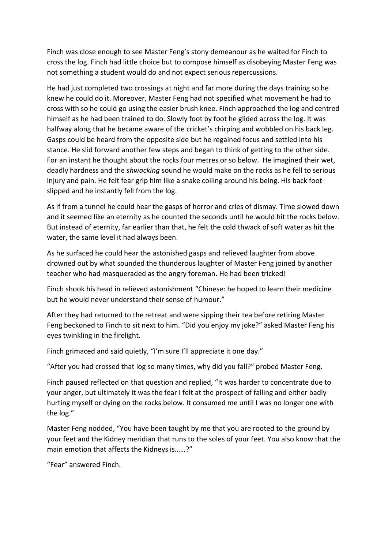Finch was close enough to see Master Feng's stony demeanour as he waited for Finch to cross the log. Finch had little choice but to compose himself as disobeying Master Feng was not something a student would do and not expect serious repercussions.

He had just completed two crossings at night and far more during the days training so he knew he could do it. Moreover, Master Feng had not specified what movement he had to cross with so he could go using the easier brush knee. Finch approached the log and centred himself as he had been trained to do. Slowly foot by foot he glided across the log. It was halfway along that he became aware of the cricket's chirping and wobbled on his back leg. Gasps could be heard from the opposite side but he regained focus and settled into his stance. He slid forward another few steps and began to think of getting to the other side. For an instant he thought about the rocks four metres or so below. He imagined their wet, deadly hardness and the *shwacking* sound he would make on the rocks as he fell to serious injury and pain. He felt fear grip him like a snake coiling around his being. His back foot slipped and he instantly fell from the log.

As if from a tunnel he could hear the gasps of horror and cries of dismay. Time slowed down and it seemed like an eternity as he counted the seconds until he would hit the rocks below. But instead of eternity, far earlier than that, he felt the cold thwack of soft water as hit the water, the same level it had always been.

As he surfaced he could hear the astonished gasps and relieved laughter from above drowned out by what sounded the thunderous laughter of Master Feng joined by another teacher who had masqueraded as the angry foreman. He had been tricked!

Finch shook his head in relieved astonishment "Chinese: he hoped to learn their medicine but he would never understand their sense of humour."

After they had returned to the retreat and were sipping their tea before retiring Master Feng beckoned to Finch to sit next to him. "Did you enjoy my joke?" asked Master Feng his eyes twinkling in the firelight.

Finch grimaced and said quietly, "I'm sure I'll appreciate it one day."

"After you had crossed that log so many times, why did you fall?" probed Master Feng.

Finch paused reflected on that question and replied, "It was harder to concentrate due to your anger, but ultimately it was the fear I felt at the prospect of falling and either badly hurting myself or dying on the rocks below. It consumed me until I was no longer one with the log."

Master Feng nodded, "You have been taught by me that you are rooted to the ground by your feet and the Kidney meridian that runs to the soles of your feet. You also know that the main emotion that affects the Kidneys is……?"

"Fear" answered Finch.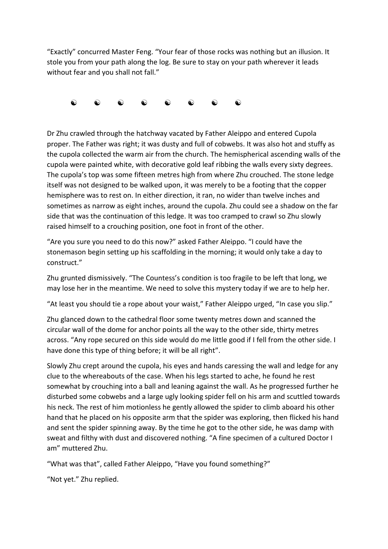"Exactly" concurred Master Feng. "Your fear of those rocks was nothing but an illusion. It stole you from your path along the log. Be sure to stay on your path wherever it leads without fear and you shall not fall."



Dr Zhu crawled through the hatchway vacated by Father Aleippo and entered Cupola proper. The Father was right; it was dusty and full of cobwebs. It was also hot and stuffy as the cupola collected the warm air from the church. The hemispherical ascending walls of the cupola were painted white, with decorative gold leaf ribbing the walls every sixty degrees. The cupola's top was some fifteen metres high from where Zhu crouched. The stone ledge itself was not designed to be walked upon, it was merely to be a footing that the copper hemisphere was to rest on. In either direction, it ran, no wider than twelve inches and sometimes as narrow as eight inches, around the cupola. Zhu could see a shadow on the far side that was the continuation of this ledge. It was too cramped to crawl so Zhu slowly raised himself to a crouching position, one foot in front of the other.

"Are you sure you need to do this now?" asked Father Aleippo. "I could have the stonemason begin setting up his scaffolding in the morning; it would only take a day to construct."

Zhu grunted dismissively. "The Countess's condition is too fragile to be left that long, we may lose her in the meantime. We need to solve this mystery today if we are to help her.

"At least you should tie a rope about your waist," Father Aleippo urged, "In case you slip."

Zhu glanced down to the cathedral floor some twenty metres down and scanned the circular wall of the dome for anchor points all the way to the other side, thirty metres across. "Any rope secured on this side would do me little good if I fell from the other side. I have done this type of thing before; it will be all right".

Slowly Zhu crept around the cupola, his eyes and hands caressing the wall and ledge for any clue to the whereabouts of the case. When his legs started to ache, he found he rest somewhat by crouching into a ball and leaning against the wall. As he progressed further he disturbed some cobwebs and a large ugly looking spider fell on his arm and scuttled towards his neck. The rest of him motionless he gently allowed the spider to climb aboard his other hand that he placed on his opposite arm that the spider was exploring, then flicked his hand and sent the spider spinning away. By the time he got to the other side, he was damp with sweat and filthy with dust and discovered nothing. "A fine specimen of a cultured Doctor I am" muttered Zhu.

"What was that", called Father Aleippo, "Have you found something?"

"Not yet." Zhu replied.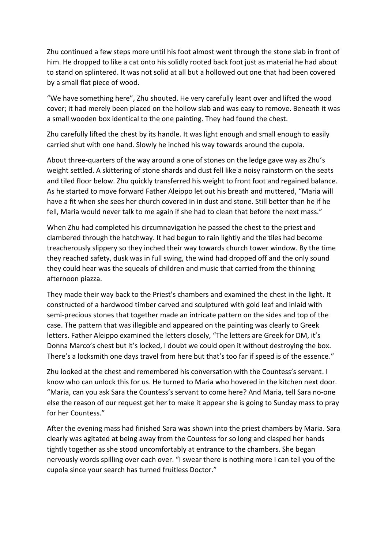Zhu continued a few steps more until his foot almost went through the stone slab in front of him. He dropped to like a cat onto his solidly rooted back foot just as material he had about to stand on splintered. It was not solid at all but a hollowed out one that had been covered by a small flat piece of wood.

"We have something here", Zhu shouted. He very carefully leant over and lifted the wood cover; it had merely been placed on the hollow slab and was easy to remove. Beneath it was a small wooden box identical to the one painting. They had found the chest.

Zhu carefully lifted the chest by its handle. It was light enough and small enough to easily carried shut with one hand. Slowly he inched his way towards around the cupola.

About three-quarters of the way around a one of stones on the ledge gave way as Zhu's weight settled. A skittering of stone shards and dust fell like a noisy rainstorm on the seats and tiled floor below. Zhu quickly transferred his weight to front foot and regained balance. As he started to move forward Father Aleippo let out his breath and muttered, "Maria will have a fit when she sees her church covered in in dust and stone. Still better than he if he fell, Maria would never talk to me again if she had to clean that before the next mass."

When Zhu had completed his circumnavigation he passed the chest to the priest and clambered through the hatchway. It had begun to rain lightly and the tiles had become treacherously slippery so they inched their way towards church tower window. By the time they reached safety, dusk was in full swing, the wind had dropped off and the only sound they could hear was the squeals of children and music that carried from the thinning afternoon piazza.

They made their way back to the Priest's chambers and examined the chest in the light. It constructed of a hardwood timber carved and sculptured with gold leaf and inlaid with semi-precious stones that together made an intricate pattern on the sides and top of the case. The pattern that was illegible and appeared on the painting was clearly to Greek letters. Father Aleippo examined the letters closely, "The letters are Greek for DM, it's Donna Marco's chest but it's locked, I doubt we could open it without destroying the box. There's a locksmith one days travel from here but that's too far if speed is of the essence."

Zhu looked at the chest and remembered his conversation with the Countess's servant. I know who can unlock this for us. He turned to Maria who hovered in the kitchen next door. "Maria, can you ask Sara the Countess's servant to come here? And Maria, tell Sara no-one else the reason of our request get her to make it appear she is going to Sunday mass to pray for her Countess."

After the evening mass had finished Sara was shown into the priest chambers by Maria. Sara clearly was agitated at being away from the Countess for so long and clasped her hands tightly together as she stood uncomfortably at entrance to the chambers. She began nervously words spilling over each over. "I swear there is nothing more I can tell you of the cupola since your search has turned fruitless Doctor."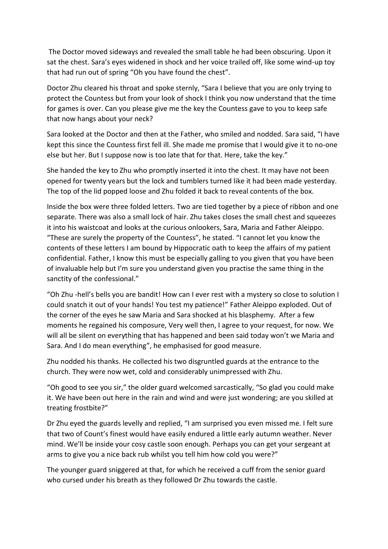The Doctor moved sideways and revealed the small table he had been obscuring. Upon it sat the chest. Sara's eyes widened in shock and her voice trailed off, like some wind-up toy that had run out of spring "Oh you have found the chest".

Doctor Zhu cleared his throat and spoke sternly, "Sara I believe that you are only trying to protect the Countess but from your look of shock I think you now understand that the time for games is over. Can you please give me the key the Countess gave to you to keep safe that now hangs about your neck?

Sara looked at the Doctor and then at the Father, who smiled and nodded. Sara said, "I have kept this since the Countess first fell ill. She made me promise that I would give it to no-one else but her. But I suppose now is too late that for that. Here, take the key."

She handed the key to Zhu who promptly inserted it into the chest. It may have not been opened for twenty years but the lock and tumblers turned like it had been made yesterday. The top of the lid popped loose and Zhu folded it back to reveal contents of the box.

Inside the box were three folded letters. Two are tied together by a piece of ribbon and one separate. There was also a small lock of hair. Zhu takes closes the small chest and squeezes it into his waistcoat and looks at the curious onlookers, Sara, Maria and Father Aleippo. "These are surely the property of the Countess", he stated. "I cannot let you know the contents of these letters I am bound by Hippocratic oath to keep the affairs of my patient confidential. Father, I know this must be especially galling to you given that you have been of invaluable help but I'm sure you understand given you practise the same thing in the sanctity of the confessional."

"Oh Zhu -hell's bells you are bandit! How can I ever rest with a mystery so close to solution I could snatch it out of your hands! You test my patience!" Father Aleippo exploded. Out of the corner of the eyes he saw Maria and Sara shocked at his blasphemy. After a few moments he regained his composure, Very well then, I agree to your request, for now. We will all be silent on everything that has happened and been said today won't we Maria and Sara. And I do mean everything", he emphasised for good measure.

Zhu nodded his thanks. He collected his two disgruntled guards at the entrance to the church. They were now wet, cold and considerably unimpressed with Zhu.

"Oh good to see you sir," the older guard welcomed sarcastically, "So glad you could make it. We have been out here in the rain and wind and were just wondering; are you skilled at treating frostbite?"

Dr Zhu eyed the guards levelly and replied, "I am surprised you even missed me. I felt sure that two of Count's finest would have easily endured a little early autumn weather. Never mind. We'll be inside your cosy castle soon enough. Perhaps you can get your sergeant at arms to give you a nice back rub whilst you tell him how cold you were?"

The younger guard sniggered at that, for which he received a cuff from the senior guard who cursed under his breath as they followed Dr Zhu towards the castle.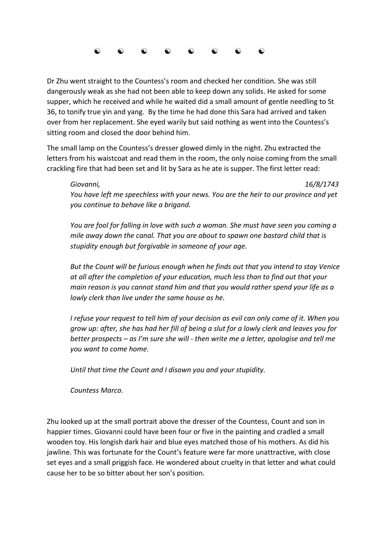

Dr Zhu went straight to the Countess's room and checked her condition. She was still dangerously weak as she had not been able to keep down any solids. He asked for some supper, which he received and while he waited did a small amount of gentle needling to St 36, to tonify true yin and yang. By the time he had done this Sara had arrived and taken over from her replacement. She eyed warily but said nothing as went into the Countess's sitting room and closed the door behind him.

The small lamp on the Countess's dresser glowed dimly in the night. Zhu extracted the letters from his waistcoat and read them in the room, the only noise coming from the small crackling fire that had been set and lit by Sara as he ate is supper. The first letter read:

*Giovanni, 16/8/1743 You have left me speechless with your news. You are the heir to our province and yet you continue to behave like a brigand.*

*You are fool for falling in love with such a woman. She must have seen you coming a mile away down the canal. That you are about to spawn one bastard child that is stupidity enough but forgivable in someone of your age.*

*But the Count will be furious enough when he finds out that you intend to stay Venice at all after the completion of your education, much less than to find out that your main reason is you cannot stand him and that you would rather spend your life as a lowly clerk than live under the same house as he.*

*I refuse your request to tell him of your decision as evil can only come of it. When you grow up: after, she has had her fill of being a slut for a lowly clerk and leaves you for better prospects – as I'm sure she will - then write me a letter, apologise and tell me you want to come home.*

*Until that time the Count and I disown you and your stupidity.*

*Countess Marco.* 

Zhu looked up at the small portrait above the dresser of the Countess, Count and son in happier times. Giovanni could have been four or five in the painting and cradled a small wooden toy. His longish dark hair and blue eyes matched those of his mothers. As did his jawline. This was fortunate for the Count's feature were far more unattractive, with close set eyes and a small priggish face. He wondered about cruelty in that letter and what could cause her to be so bitter about her son's position.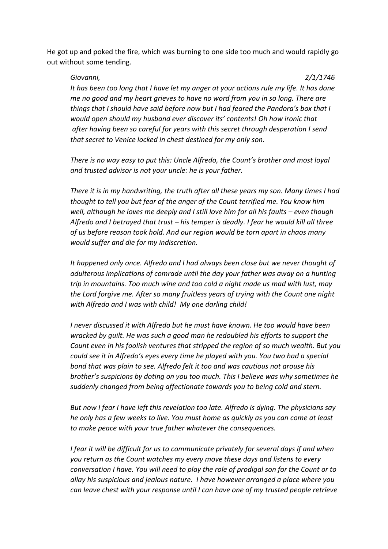He got up and poked the fire, which was burning to one side too much and would rapidly go out without some tending.

*Giovanni, 2/1/1746*

*It has been too long that I have let my anger at your actions rule my life. It has done me no good and my heart grieves to have no word from you in so long. There are things that I should have said before now but I had feared the Pandora's box that I would open should my husband ever discover its' contents! Oh how ironic that after having been so careful for years with this secret through desperation I send that secret to Venice locked in chest destined for my only son.* 

*There is no way easy to put this: Uncle Alfredo, the Count's brother and most loyal and trusted advisor is not your uncle: he is your father.* 

*There it is in my handwriting, the truth after all these years my son. Many times I had thought to tell you but fear of the anger of the Count terrified me. You know him well, although he loves me deeply and I still love him for all his faults – even though Alfredo and I betrayed that trust – his temper is deadly. I fear he would kill all three of us before reason took hold. And our region would be torn apart in chaos many would suffer and die for my indiscretion.*

*It happened only once. Alfredo and I had always been close but we never thought of adulterous implications of comrade until the day your father was away on a hunting trip in mountains. Too much wine and too cold a night made us mad with lust, may the Lord forgive me. After so many fruitless years of trying with the Count one night with Alfredo and I was with child! My one darling child!*

*I never discussed it with Alfredo but he must have known. He too would have been wracked by guilt. He was such a good man he redoubled his efforts to support the Count even in his foolish ventures that stripped the region of so much wealth. But you could see it in Alfredo's eyes every time he played with you. You two had a special bond that was plain to see. Alfredo felt it too and was cautious not arouse his brother's suspicions by doting on you too much. This I believe was why sometimes he suddenly changed from being affectionate towards you to being cold and stern.* 

*But now I fear I have left this revelation too late. Alfredo is dying. The physicians say he only has a few weeks to live. You must home as quickly as you can come at least to make peace with your true father whatever the consequences.* 

*I fear it will be difficult for us to communicate privately for several days if and when you return as the Count watches my every move these days and listens to every conversation I have. You will need to play the role of prodigal son for the Count or to allay his suspicious and jealous nature. I have however arranged a place where you can leave chest with your response until I can have one of my trusted people retrieve*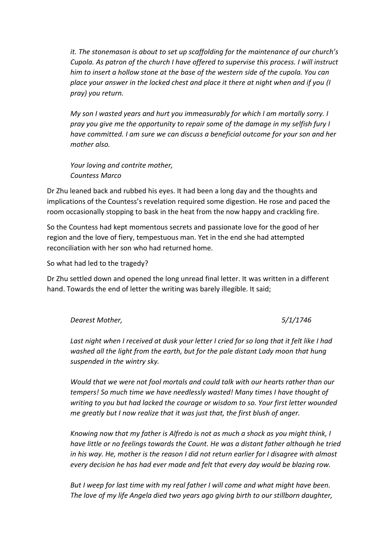*it. The stonemason is about to set up scaffolding for the maintenance of our church's Cupola. As patron of the church I have offered to supervise this process. I will instruct him to insert a hollow stone at the base of the western side of the cupola. You can place your answer in the locked chest and place it there at night when and if you (I pray) you return.*

*My son I wasted years and hurt you immeasurably for which I am mortally sorry. I pray you give me the opportunity to repair some of the damage in my selfish fury I have committed. I am sure we can discuss a beneficial outcome for your son and her mother also.* 

*Your loving and contrite mother, Countess Marco*

Dr Zhu leaned back and rubbed his eyes. It had been a long day and the thoughts and implications of the Countess's revelation required some digestion. He rose and paced the room occasionally stopping to bask in the heat from the now happy and crackling fire.

So the Countess had kept momentous secrets and passionate love for the good of her region and the love of fiery, tempestuous man. Yet in the end she had attempted reconciliation with her son who had returned home.

So what had led to the tragedy?

Dr Zhu settled down and opened the long unread final letter. It was written in a different hand. Towards the end of letter the writing was barely illegible. It said;

*Dearest Mother, 5/1/1746*

*Last night when I received at dusk your letter I cried for so long that it felt like I had washed all the light from the earth, but for the pale distant Lady moon that hung suspended in the wintry sky.*

*Would that we were not fool mortals and could talk with our hearts rather than our tempers! So much time we have needlessly wasted! Many times I have thought of writing to you but had lacked the courage or wisdom to so. Your first letter wounded me greatly but I now realize that it was just that, the first blush of anger.*

*Knowing now that my father is Alfredo is not as much a shock as you might think, I have little or no feelings towards the Count. He was a distant father although he tried in his way. He, mother is the reason I did not return earlier for I disagree with almost every decision he has had ever made and felt that every day would be blazing row.* 

*But I weep for last time with my real father I will come and what might have been. The love of my life Angela died two years ago giving birth to our stillborn daughter,*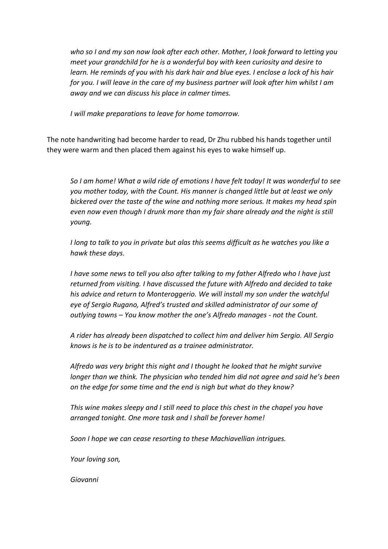*who so I and my son now look after each other. Mother, I look forward to letting you meet your grandchild for he is a wonderful boy with keen curiosity and desire to learn. He reminds of you with his dark hair and blue eyes. I enclose a lock of his hair for you. I will leave in the care of my business partner will look after him whilst I am away and we can discuss his place in calmer times.*

*I will make preparations to leave for home tomorrow.*

The note handwriting had become harder to read, Dr Zhu rubbed his hands together until they were warm and then placed them against his eyes to wake himself up.

*So I am home! What a wild ride of emotions I have felt today! It was wonderful to see you mother today, with the Count. His manner is changed little but at least we only bickered over the taste of the wine and nothing more serious. It makes my head spin even now even though I drunk more than my fair share already and the night is still young.* 

*I long to talk to you in private but alas this seems difficult as he watches you like a hawk these days.* 

*I have some news to tell you also after talking to my father Alfredo who I have just returned from visiting. I have discussed the future with Alfredo and decided to take his advice and return to Monteroggerio. We will install my son under the watchful eye of Sergio Rugano, Alfred's trusted and skilled administrator of our some of outlying towns – You know mother the one's Alfredo manages - not the Count.*

*A rider has already been dispatched to collect him and deliver him Sergio. All Sergio knows is he is to be indentured as a trainee administrator.*

*Alfredo was very bright this night and I thought he looked that he might survive longer than we think. The physician who tended him did not agree and said he's been on the edge for some time and the end is nigh but what do they know?*

*This wine makes sleepy and I still need to place this chest in the chapel you have arranged tonight. One more task and I shall be forever home!*

*Soon I hope we can cease resorting to these Machiavellian intrigues.* 

*Your loving son,*

*Giovanni*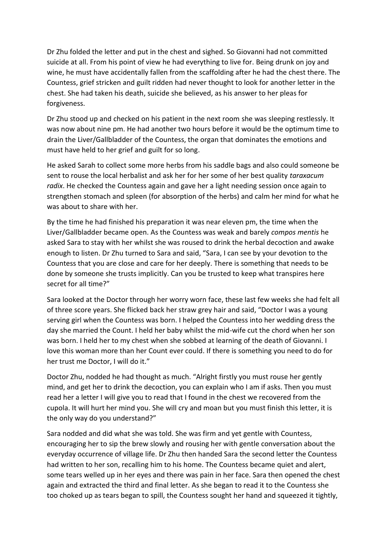Dr Zhu folded the letter and put in the chest and sighed. So Giovanni had not committed suicide at all. From his point of view he had everything to live for. Being drunk on joy and wine, he must have accidentally fallen from the scaffolding after he had the chest there. The Countess, grief stricken and guilt ridden had never thought to look for another letter in the chest. She had taken his death, suicide she believed, as his answer to her pleas for forgiveness.

Dr Zhu stood up and checked on his patient in the next room she was sleeping restlessly. It was now about nine pm. He had another two hours before it would be the optimum time to drain the Liver/Gallbladder of the Countess, the organ that dominates the emotions and must have held to her grief and guilt for so long.

He asked Sarah to collect some more herbs from his saddle bags and also could someone be sent to rouse the local herbalist and ask her for her some of her best quality *taraxacum radix*. He checked the Countess again and gave her a light needing session once again to strengthen stomach and spleen (for absorption of the herbs) and calm her mind for what he was about to share with her.

By the time he had finished his preparation it was near eleven pm, the time when the Liver/Gallbladder became open. As the Countess was weak and barely *compos mentis* he asked Sara to stay with her whilst she was roused to drink the herbal decoction and awake enough to listen. Dr Zhu turned to Sara and said, "Sara, I can see by your devotion to the Countess that you are close and care for her deeply. There is something that needs to be done by someone she trusts implicitly. Can you be trusted to keep what transpires here secret for all time?"

Sara looked at the Doctor through her worry worn face, these last few weeks she had felt all of three score years. She flicked back her straw grey hair and said, "Doctor I was a young serving girl when the Countess was born. I helped the Countess into her wedding dress the day she married the Count. I held her baby whilst the mid-wife cut the chord when her son was born. I held her to my chest when she sobbed at learning of the death of Giovanni. I love this woman more than her Count ever could. If there is something you need to do for her trust me Doctor, I will do it."

Doctor Zhu, nodded he had thought as much. "Alright firstly you must rouse her gently mind, and get her to drink the decoction, you can explain who I am if asks. Then you must read her a letter I will give you to read that I found in the chest we recovered from the cupola. It will hurt her mind you. She will cry and moan but you must finish this letter, it is the only way do you understand?"

Sara nodded and did what she was told. She was firm and yet gentle with Countess, encouraging her to sip the brew slowly and rousing her with gentle conversation about the everyday occurrence of village life. Dr Zhu then handed Sara the second letter the Countess had written to her son, recalling him to his home. The Countess became quiet and alert, some tears welled up in her eyes and there was pain in her face. Sara then opened the chest again and extracted the third and final letter. As she began to read it to the Countess she too choked up as tears began to spill, the Countess sought her hand and squeezed it tightly,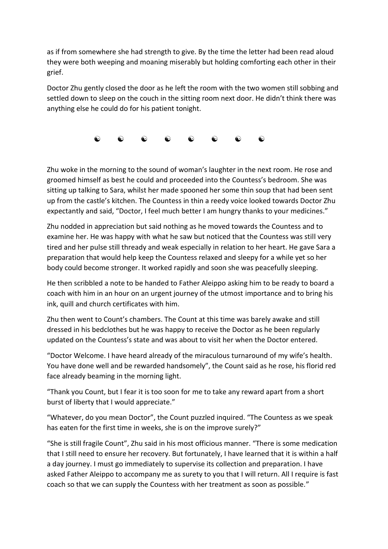as if from somewhere she had strength to give. By the time the letter had been read aloud they were both weeping and moaning miserably but holding comforting each other in their grief.

Doctor Zhu gently closed the door as he left the room with the two women still sobbing and settled down to sleep on the couch in the sitting room next door. He didn't think there was anything else he could do for his patient tonight.

 $\begin{matrix} \bullet\hspace{0.6cm}&\bullet\hspace{0.6cm}&\bullet\hspace{0.6cm}&\bullet\hspace{0.6cm}&\bullet\hspace{0.6cm}&\bullet\hspace{0.6cm}&\bullet\hspace{0.6cm}&\bullet\hspace{0.6cm}&\bullet\hspace{0.6cm}&\bullet\hspace{0.6cm}&\bullet\hspace{0.6cm}&\bullet\hspace{0.6cm}&\bullet\hspace{0.6cm}&\bullet\hspace{0.6cm}&\bullet\hspace{0.6cm}&\bullet\hspace{0.6cm}&\bullet\hspace{0.6cm}&\bullet\hspace{0.6cm}&\bullet\hspace{0.6cm}&\bullet\hspace{$ 

Zhu woke in the morning to the sound of woman's laughter in the next room. He rose and groomed himself as best he could and proceeded into the Countess's bedroom. She was sitting up talking to Sara, whilst her made spooned her some thin soup that had been sent up from the castle's kitchen. The Countess in thin a reedy voice looked towards Doctor Zhu expectantly and said, "Doctor, I feel much better I am hungry thanks to your medicines."

Zhu nodded in appreciation but said nothing as he moved towards the Countess and to examine her. He was happy with what he saw but noticed that the Countess was still very tired and her pulse still thready and weak especially in relation to her heart. He gave Sara a preparation that would help keep the Countess relaxed and sleepy for a while yet so her body could become stronger. It worked rapidly and soon she was peacefully sleeping.

He then scribbled a note to be handed to Father Aleippo asking him to be ready to board a coach with him in an hour on an urgent journey of the utmost importance and to bring his ink, quill and church certificates with him.

Zhu then went to Count's chambers. The Count at this time was barely awake and still dressed in his bedclothes but he was happy to receive the Doctor as he been regularly updated on the Countess's state and was about to visit her when the Doctor entered.

"Doctor Welcome. I have heard already of the miraculous turnaround of my wife's health. You have done well and be rewarded handsomely", the Count said as he rose, his florid red face already beaming in the morning light.

"Thank you Count, but I fear it is too soon for me to take any reward apart from a short burst of liberty that I would appreciate."

"Whatever, do you mean Doctor", the Count puzzled inquired. "The Countess as we speak has eaten for the first time in weeks, she is on the improve surely?"

"She is still fragile Count", Zhu said in his most officious manner. "There is some medication that I still need to ensure her recovery. But fortunately, I have learned that it is within a half a day journey. I must go immediately to supervise its collection and preparation. I have asked Father Aleippo to accompany me as surety to you that I will return. All I require is fast coach so that we can supply the Countess with her treatment as soon as possible."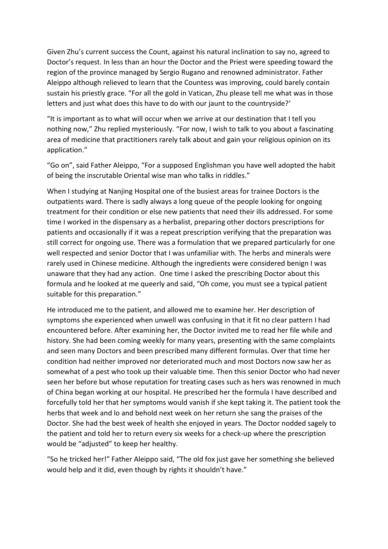Given Zhu's current success the Count, against his natural inclination to say no, agreed to Doctor's request. In less than an hour the Doctor and the Priest were speeding toward the region of the province managed by Sergio Rugano and renowned administrator. Father Aleippo although relieved to learn that the Countess was improving, could barely contain sustain his priestly grace. "For all the gold in Vatican, Zhu please tell me what was in those letters and just what does this have to do with our jaunt to the countryside?'

"It is important as to what will occur when we arrive at our destination that I tell you nothing now," Zhu replied mysteriously. "For now, I wish to talk to you about a fascinating area of medicine that practitioners rarely talk about and gain your religious opinion on its application."

"Go on", said Father Aleippo, "For a supposed Englishman you have well adopted the habit of being the inscrutable Oriental wise man who talks in riddles."

When I studying at Nanjing Hospital one of the busiest areas for trainee Doctors is the outpatients ward. There is sadly always a long queue of the people looking for ongoing treatment for their condition or else new patients that need their ills addressed. For some time I worked in the dispensary as a herbalist, preparing other doctors prescriptions for patients and occasionally if it was a repeat prescription verifying that the preparation was still correct for ongoing use. There was a formulation that we prepared particularly for one well respected and senior Doctor that I was unfamiliar with. The herbs and minerals were rarely used in Chinese medicine. Although the ingredients were considered benign I was unaware that they had any action. One time I asked the prescribing Doctor about this formula and he looked at me queerly and said, "Oh come, you must see a typical patient suitable for this preparation."

He introduced me to the patient, and allowed me to examine her. Her description of symptoms she experienced when unwell was confusing in that it fit no clear pattern I had encountered before. After examining her, the Doctor invited me to read her file while and history. She had been coming weekly for many years, presenting with the same complaints and seen many Doctors and been prescribed many different formulas. Over that time her condition had neither improved nor deteriorated much and most Doctors now saw her as somewhat of a pest who took up their valuable time. Then this senior Doctor who had never seen her before but whose reputation for treating cases such as hers was renowned in much of China began working at our hospital. He prescribed her the formula I have described and forcefully told her that her symptoms would vanish if she kept taking it. The patient took the herbs that week and lo and behold next week on her return she sang the praises of the Doctor. She had the best week of health she enjoyed in years. The Doctor nodded sagely to the patient and told her to return every six weeks for a check-up where the prescription would be "adjusted" to keep her healthy.

"So he tricked her!" Father Aleippo said, "The old fox just gave her something she believed would help and it did, even though by rights it shouldn't have."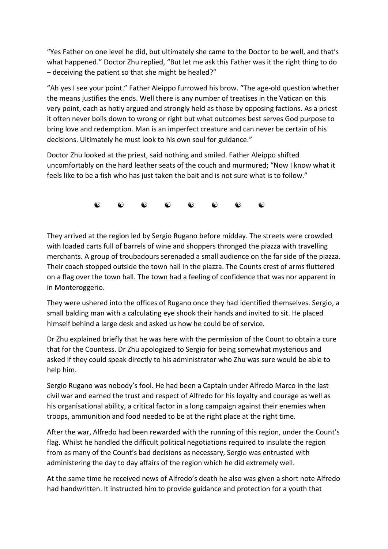"Yes Father on one level he did, but ultimately she came to the Doctor to be well, and that's what happened." Doctor Zhu replied, "But let me ask this Father was it the right thing to do – deceiving the patient so that she might be healed?"

"Ah yes I see your point." Father Aleippo furrowed his brow. "The age-old question whether the means justifies the ends. Well there is any number of treatises in the Vatican on this very point, each as hotly argued and strongly held as those by opposing factions. As a priest it often never boils down to wrong or right but what outcomes best serves God purpose to bring love and redemption. Man is an imperfect creature and can never be certain of his decisions. Ultimately he must look to his own soul for guidance."

Doctor Zhu looked at the priest, said nothing and smiled. Father Aleippo shifted uncomfortably on the hard leather seats of the couch and murmured; "Now I know what it feels like to be a fish who has just taken the bait and is not sure what is to follow."

 $\begin{matrix} \bullet\hspace{-6pt}&\bullet\hspace{-6pt}&\bullet\hspace{-6pt}&\bullet\hspace{-6pt}&\bullet\hspace{-6pt}&\bullet\hspace{-6pt}&\bullet\hspace{-6pt}&\bullet\hspace{-6pt}&\bullet\hspace{-6pt}&\bullet\hspace{-6pt}&\bullet\hspace{-6pt}&\bullet\hspace{-6pt}&\bullet\hspace{-6pt}&\bullet\hspace{-6pt}&\bullet\hspace{-6pt}&\bullet\hspace{-6pt}&\bullet\hspace{-6pt}&\bullet\hspace{-6pt}&\bullet\hspace{-6pt}&\bullet\hspace{-6pt}&\bullet\hspace{-6pt}&\bullet\hspace{-6pt}&\bullet\hspace{-6pt}&\bullet\hspace{-6pt$ 

They arrived at the region led by Sergio Rugano before midday. The streets were crowded with loaded carts full of barrels of wine and shoppers thronged the piazza with travelling merchants. A group of troubadours serenaded a small audience on the far side of the piazza. Their coach stopped outside the town hall in the piazza. The Counts crest of arms fluttered on a flag over the town hall. The town had a feeling of confidence that was nor apparent in in Monteroggerio.

They were ushered into the offices of Rugano once they had identified themselves. Sergio, a small balding man with a calculating eye shook their hands and invited to sit. He placed himself behind a large desk and asked us how he could be of service.

Dr Zhu explained briefly that he was here with the permission of the Count to obtain a cure that for the Countess. Dr Zhu apologized to Sergio for being somewhat mysterious and asked if they could speak directly to his administrator who Zhu was sure would be able to help him.

Sergio Rugano was nobody's fool. He had been a Captain under Alfredo Marco in the last civil war and earned the trust and respect of Alfredo for his loyalty and courage as well as his organisational ability, a critical factor in a long campaign against their enemies when troops, ammunition and food needed to be at the right place at the right time.

After the war, Alfredo had been rewarded with the running of this region, under the Count's flag. Whilst he handled the difficult political negotiations required to insulate the region from as many of the Count's bad decisions as necessary, Sergio was entrusted with administering the day to day affairs of the region which he did extremely well.

At the same time he received news of Alfredo's death he also was given a short note Alfredo had handwritten. It instructed him to provide guidance and protection for a youth that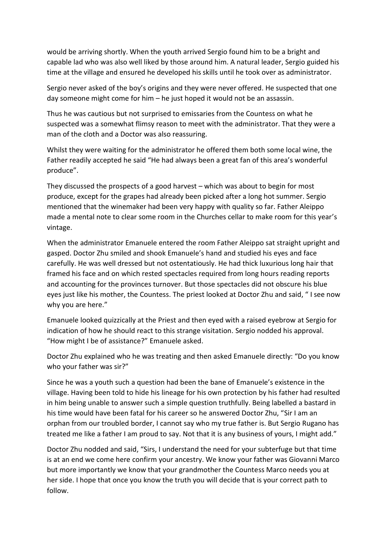would be arriving shortly. When the youth arrived Sergio found him to be a bright and capable lad who was also well liked by those around him. A natural leader, Sergio guided his time at the village and ensured he developed his skills until he took over as administrator.

Sergio never asked of the boy's origins and they were never offered. He suspected that one day someone might come for him – he just hoped it would not be an assassin.

Thus he was cautious but not surprised to emissaries from the Countess on what he suspected was a somewhat flimsy reason to meet with the administrator. That they were a man of the cloth and a Doctor was also reassuring.

Whilst they were waiting for the administrator he offered them both some local wine, the Father readily accepted he said "He had always been a great fan of this area's wonderful produce".

They discussed the prospects of a good harvest – which was about to begin for most produce, except for the grapes had already been picked after a long hot summer. Sergio mentioned that the winemaker had been very happy with quality so far. Father Aleippo made a mental note to clear some room in the Churches cellar to make room for this year's vintage.

When the administrator Emanuele entered the room Father Aleippo sat straight upright and gasped. Doctor Zhu smiled and shook Emanuele's hand and studied his eyes and face carefully. He was well dressed but not ostentatiously. He had thick luxurious long hair that framed his face and on which rested spectacles required from long hours reading reports and accounting for the provinces turnover. But those spectacles did not obscure his blue eyes just like his mother, the Countess. The priest looked at Doctor Zhu and said, " I see now why you are here."

Emanuele looked quizzically at the Priest and then eyed with a raised eyebrow at Sergio for indication of how he should react to this strange visitation. Sergio nodded his approval. "How might I be of assistance?" Emanuele asked.

Doctor Zhu explained who he was treating and then asked Emanuele directly: "Do you know who your father was sir?"

Since he was a youth such a question had been the bane of Emanuele's existence in the village. Having been told to hide his lineage for his own protection by his father had resulted in him being unable to answer such a simple question truthfully. Being labelled a bastard in his time would have been fatal for his career so he answered Doctor Zhu, "Sir I am an orphan from our troubled border, I cannot say who my true father is. But Sergio Rugano has treated me like a father I am proud to say. Not that it is any business of yours, I might add."

Doctor Zhu nodded and said, "Sirs, I understand the need for your subterfuge but that time is at an end we come here confirm your ancestry. We know your father was Giovanni Marco but more importantly we know that your grandmother the Countess Marco needs you at her side. I hope that once you know the truth you will decide that is your correct path to follow.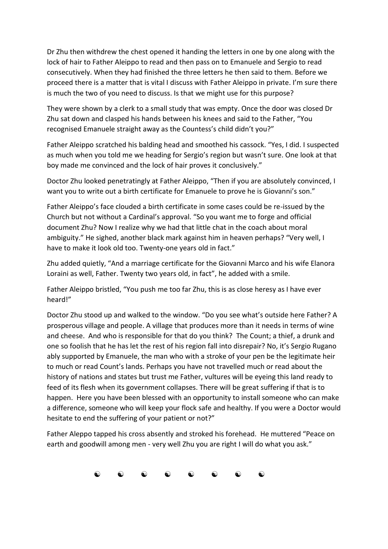Dr Zhu then withdrew the chest opened it handing the letters in one by one along with the lock of hair to Father Aleippo to read and then pass on to Emanuele and Sergio to read consecutively. When they had finished the three letters he then said to them. Before we proceed there is a matter that is vital I discuss with Father Aleippo in private. I'm sure there is much the two of you need to discuss. Is that we might use for this purpose?

They were shown by a clerk to a small study that was empty. Once the door was closed Dr Zhu sat down and clasped his hands between his knees and said to the Father, "You recognised Emanuele straight away as the Countess's child didn't you?"

Father Aleippo scratched his balding head and smoothed his cassock. "Yes, I did. I suspected as much when you told me we heading for Sergio's region but wasn't sure. One look at that boy made me convinced and the lock of hair proves it conclusively."

Doctor Zhu looked penetratingly at Father Aleippo, "Then if you are absolutely convinced, I want you to write out a birth certificate for Emanuele to prove he is Giovanni's son."

Father Aleippo's face clouded a birth certificate in some cases could be re-issued by the Church but not without a Cardinal's approval. "So you want me to forge and official document Zhu? Now I realize why we had that little chat in the coach about moral ambiguity." He sighed, another black mark against him in heaven perhaps? "Very well, I have to make it look old too. Twenty-one years old in fact."

Zhu added quietly, "And a marriage certificate for the Giovanni Marco and his wife Elanora Loraini as well, Father. Twenty two years old, in fact", he added with a smile.

Father Aleippo bristled, "You push me too far Zhu, this is as close heresy as I have ever heard!"

Doctor Zhu stood up and walked to the window. "Do you see what's outside here Father? A prosperous village and people. A village that produces more than it needs in terms of wine and cheese. And who is responsible for that do you think? The Count; a thief, a drunk and one so foolish that he has let the rest of his region fall into disrepair? No, it's Sergio Rugano ably supported by Emanuele, the man who with a stroke of your pen be the legitimate heir to much or read Count's lands. Perhaps you have not travelled much or read about the history of nations and states but trust me Father, vultures will be eyeing this land ready to feed of its flesh when its government collapses. There will be great suffering if that is to happen. Here you have been blessed with an opportunity to install someone who can make a difference, someone who will keep your flock safe and healthy. If you were a Doctor would hesitate to end the suffering of your patient or not?"

Father Aleppo tapped his cross absently and stroked his forehead. He muttered "Peace on earth and goodwill among men - very well Zhu you are right I will do what you ask."